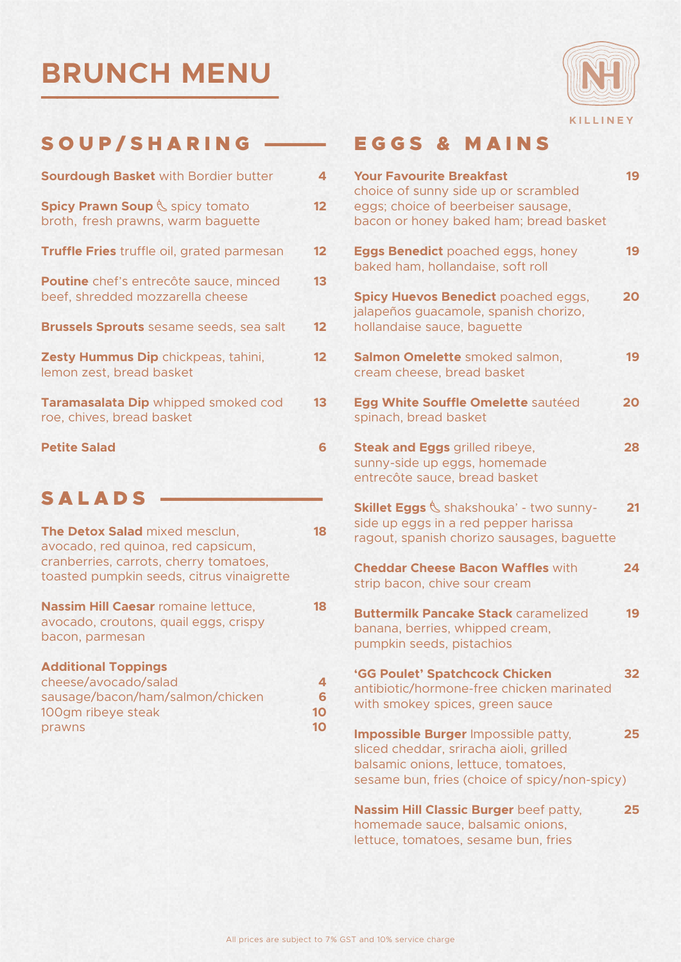# **BRUNCH MENU \_\_\_\_\_\_\_\_\_\_\_\_\_\_\_**



### SOUP/SHARING —— EGGS & MAINS

| Sourdough Basket with Bordier butter                                       | 4  |
|----------------------------------------------------------------------------|----|
| Spicy Prawn Soup & spicy tomato<br>broth, fresh prawns, warm baguette      | 12 |
| Truffle Fries truffle oil, grated parmesan                                 | 12 |
| Poutine chef's entrecôte sauce, minced<br>beef, shredded mozzarella cheese | 13 |
| <b>Brussels Sprouts</b> sesame seeds, sea salt                             | 12 |
| Zesty Hummus Dip chickpeas, tahini,<br>lemon zest, bread basket            | 12 |
| Taramasalata Dip whipped smoked cod<br>roe, chives, bread basket           | 13 |
| <b>Petite Salad</b>                                                        | 6  |
|                                                                            |    |

# SALADS

| The Detox Salad mixed mesclun,<br>avocado, red quinoa, red capsicum,<br>cranberries, carrots, cherry tomatoes,<br>toasted pumpkin seeds, citrus vinaigrette | 18                 |
|-------------------------------------------------------------------------------------------------------------------------------------------------------------|--------------------|
| <b>Nassim Hill Caesar romaine lettuce,</b><br>avocado, croutons, quail eggs, crispy<br>bacon, parmesan                                                      | 18                 |
| <b>Additional Toppings</b><br>cheese/avocado/salad<br>sausage/bacon/ham/salmon/chicken<br>100gm ribeye steak<br>prawns                                      | 4<br>6<br>10<br>10 |

| <b>Your Favourite Breakfast</b><br>choice of sunny side up or scrambled<br>eggs; choice of beerbeiser sausage,<br>bacon or honey baked ham; bread basket                      | 19 |
|-------------------------------------------------------------------------------------------------------------------------------------------------------------------------------|----|
| <b>Eggs Benedict</b> poached eggs, honey<br>baked ham, hollandaise, soft roll                                                                                                 | 19 |
| <b>Spicy Huevos Benedict poached eggs,</b><br>jalapeños guacamole, spanish chorizo,<br>hollandaise sauce, baguette                                                            | 20 |
| Salmon Omelette smoked salmon,<br>cream cheese, bread basket                                                                                                                  | 19 |
| Egg White Souffle Omelette sautéed<br>spinach, bread basket                                                                                                                   | 20 |
| <b>Steak and Eggs</b> grilled ribeye,<br>sunny-side up eggs, homemade<br>entrecôte sauce, bread basket                                                                        | 28 |
| Skillet Eggs & shakshouka' - two sunny-<br>side up eggs in a red pepper harissa<br>ragout, spanish chorizo sausages, baguette                                                 | 21 |
| <b>Cheddar Cheese Bacon Waffles with</b><br>strip bacon, chive sour cream                                                                                                     | 24 |
| <b>Buttermilk Pancake Stack caramelized</b><br>banana, berries, whipped cream,<br>pumpkin seeds, pistachios                                                                   | 19 |
| 'GG Poulet' Spatchcock Chicken<br>antibiotic/hormone-free chicken marinated<br>with smokey spices, green sauce                                                                | 32 |
| <b>Impossible Burger Impossible patty,</b><br>sliced cheddar, sriracha aioli, grilled<br>balsamic onions, lettuce, tomatoes,<br>sesame bun, fries (choice of spicy/non-spicy) | 25 |
| Nassim Hill Classic Burger beef patty,<br>homemade sauce, balsamic onions,<br>lettuce, tomatoes, sesame bun, fries                                                            | 25 |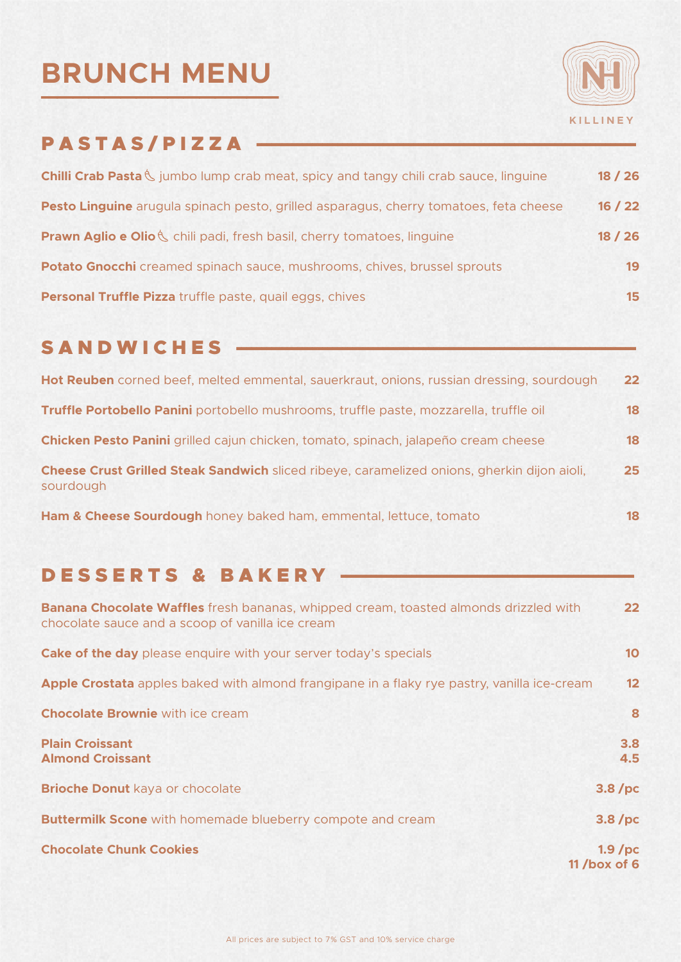# **BRUNCH MENU \_\_\_\_\_\_\_\_\_\_\_\_\_\_\_**



# PASTAS/PIZZA -

| Chilli Crab Pasta & jumbo lump crab meat, spicy and tangy chili crab sauce, linguine  | 18/26 |
|---------------------------------------------------------------------------------------|-------|
| Pesto Linguine arugula spinach pesto, grilled asparagus, cherry tomatoes, feta cheese | 16/22 |
| <b>Prawn Aglio e Olio &amp;</b> chili padi, fresh basil, cherry tomatoes, linguine    | 18/26 |
| Potato Gnocchi creamed spinach sauce, mushrooms, chives, brussel sprouts              | 19    |
| Personal Truffle Pizza truffle paste, quail eggs, chives                              | 15    |

### SANDWICHES -

| Hot Reuben corned beef, melted emmental, sauerkraut, onions, russian dressing, sourdough                 | $22 \overline{ }$ |
|----------------------------------------------------------------------------------------------------------|-------------------|
| Truffle Portobello Panini portobello mushrooms, truffle paste, mozzarella, truffle oil                   | 18                |
| Chicken Pesto Panini grilled cajun chicken, tomato, spinach, jalapeño cream cheese                       | 18                |
| Cheese Crust Grilled Steak Sandwich sliced ribeye, caramelized onions, gherkin dijon aioli,<br>sourdough | 25 <sub>1</sub>   |
| Ham & Cheese Sourdough honey baked ham, emmental, lettuce, tomato                                        | 18.               |

## D E S S E R T S & B A K E R Y

| <b>Banana Chocolate Waffles</b> fresh bananas, whipped cream, toasted almonds drizzled with<br>chocolate sauce and a scoop of vanilla ice cream | 22                          |
|-------------------------------------------------------------------------------------------------------------------------------------------------|-----------------------------|
| <b>Cake of the day</b> please enguire with your server today's specials                                                                         | 10 <sup>°</sup>             |
| Apple Crostata apples baked with almond frangipane in a flaky rye pastry, vanilla ice-cream                                                     | 12 <sup>°</sup>             |
| <b>Chocolate Brownie</b> with ice cream                                                                                                         | 8                           |
| <b>Plain Croissant</b><br><b>Almond Croissant</b>                                                                                               | 3.8<br>4.5                  |
| <b>Brioche Donut kaya or chocolate</b>                                                                                                          | 3.8/pc                      |
| <b>Buttermilk Scone</b> with homemade blueberry compote and cream                                                                               | 3.8/pc                      |
| <b>Chocolate Chunk Cookies</b>                                                                                                                  | $1.9$ /pc<br>11 /box of $6$ |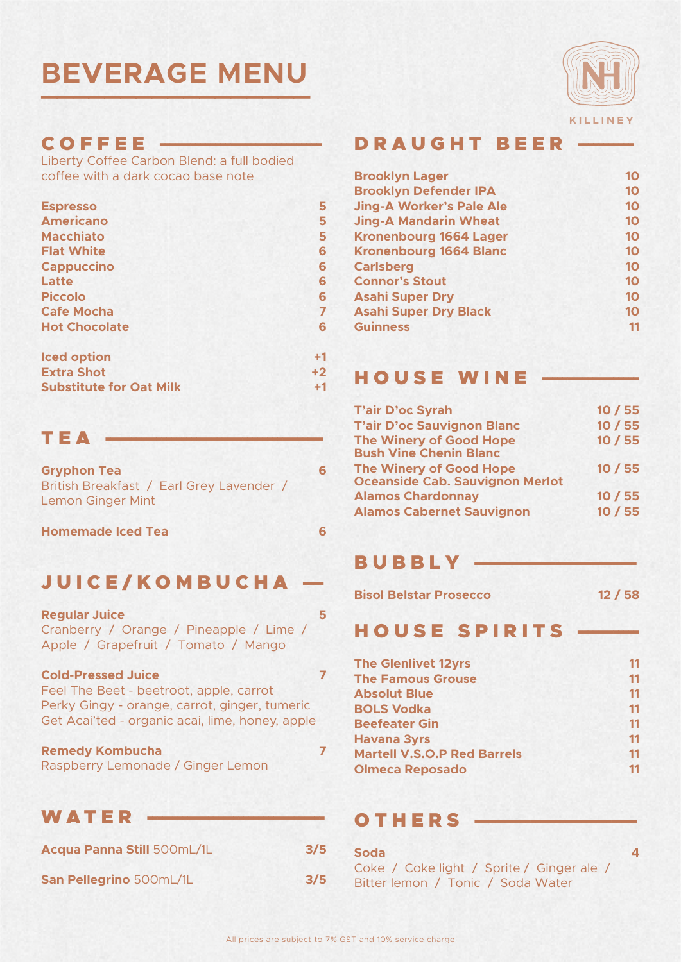# **BEVERAGE MENU \_\_\_\_\_\_\_\_\_\_\_\_\_\_\_\_\_**



#### $CO$  F F E E  $-$

Liberty Coffee Carbon Blend: a full bodied coffee with a dark cocao base note

| <b>Espresso</b>      | 5    |
|----------------------|------|
| <b>Americano</b>     | 5    |
| <b>Macchiato</b>     | 5    |
| <b>Flat White</b>    | 6    |
| <b>Cappuccino</b>    | 6    |
| Latte                | 6    |
| <b>Piccolo</b>       | 6    |
| <b>Cafe Mocha</b>    | 7    |
| <b>Hot Chocolate</b> | 6    |
| <b>Iced option</b>   | $+1$ |
| Eytra Chat           | ⊥າ   |

| <b>ICEN OPTIOII</b>            |                   |
|--------------------------------|-------------------|
| <b>Extra Shot</b>              | $+2$              |
| <b>Substitute for Oat Milk</b> | $^{\mathrm {+1}}$ |

#### $T E A$

| <b>Gryphon Tea</b>                                                   | 6 |
|----------------------------------------------------------------------|---|
| British Breakfast / Earl Grey Lavender /<br><b>Lemon Ginger Mint</b> |   |

**Homemade Iced Tea 6**

## JUICE/KOMBUCHA -

| <b>Regular Juice</b>                    |   |
|-----------------------------------------|---|
| Cranberry / Orange / Pineapple / Lime / |   |
| Apple / Grapefruit / Tomato / Mango     |   |
| <b>Cold-Pressed Juice</b>               | 7 |
| Feel The Beet - beetroot, apple, carrot |   |

| <u>I COI IIIC DOOL NOOCHOOL, UNNIC, CUITOL</u>  |  |
|-------------------------------------------------|--|
| Perky Gingy - orange, carrot, ginger, tumeric   |  |
| Get Acai'ted - organic acai, lime, honey, apple |  |

| <b>Remedy Kombucha</b>            |  |
|-----------------------------------|--|
| Raspberry Lemonade / Ginger Lemon |  |

### WATER

| Acqua Panna Still 500mL/1L | 3/5 |
|----------------------------|-----|
| San Pellegrino 500mL/1L    | 3/5 |

#### D R A U G H T B E E R

| <b>Brooklyn Lager</b>           | 10 |
|---------------------------------|----|
| <b>Brooklyn Defender IPA</b>    | 10 |
| <b>Jing-A Worker's Pale Ale</b> | 10 |
| <b>Jing-A Mandarin Wheat</b>    | 10 |
| <b>Kronenbourg 1664 Lager</b>   | 10 |
| <b>Kronenbourg 1664 Blanc</b>   | 10 |
| <b>Carlsberg</b>                | 10 |
| <b>Connor's Stout</b>           | 10 |
| <b>Asahi Super Dry</b>          | 10 |
| <b>Asahi Super Dry Black</b>    | 10 |
| <b>Guinness</b>                 | 11 |
|                                 |    |

#### HOUSE WINE -

| <b>T'air D'oc Syrah</b>                                                  | 10/55   |
|--------------------------------------------------------------------------|---------|
| <b>T'air D'oc Sauvignon Blanc</b>                                        | 10 / 55 |
| <b>The Winery of Good Hope</b><br><b>Bush Vine Chenin Blanc</b>          | 10/55   |
| <b>The Winery of Good Hope</b><br><b>Oceanside Cab. Sauvignon Merlot</b> | 10/55   |
| <b>Alamos Chardonnay</b>                                                 | 10/55   |
| <b>Alamos Cabernet Sauvignon</b>                                         | 10/55   |

### BUBBLY

| <b>Bisol Belstar Prosecco</b> |  | 12/58 |  |
|-------------------------------|--|-------|--|
|-------------------------------|--|-------|--|

#### HOUSE SPIRITS

| <b>The Glenlivet 12yrs</b>         | 11 |
|------------------------------------|----|
| <b>The Famous Grouse</b>           | 11 |
| <b>Absolut Blue</b>                | 11 |
| <b>BOLS Vodka</b>                  | 11 |
| <b>Beefeater Gin</b>               | 11 |
| <b>Havana 3yrs</b>                 | 11 |
| <b>Martell V.S.O.P Red Barrels</b> | 11 |
| <b>Olmeca Reposado</b>             | 11 |

### OTHERS

| <b>Soda</b>                               |  |
|-------------------------------------------|--|
| Coke / Coke light / Sprite / Ginger ale / |  |
| Bitter lemon / Tonic / Soda Water         |  |